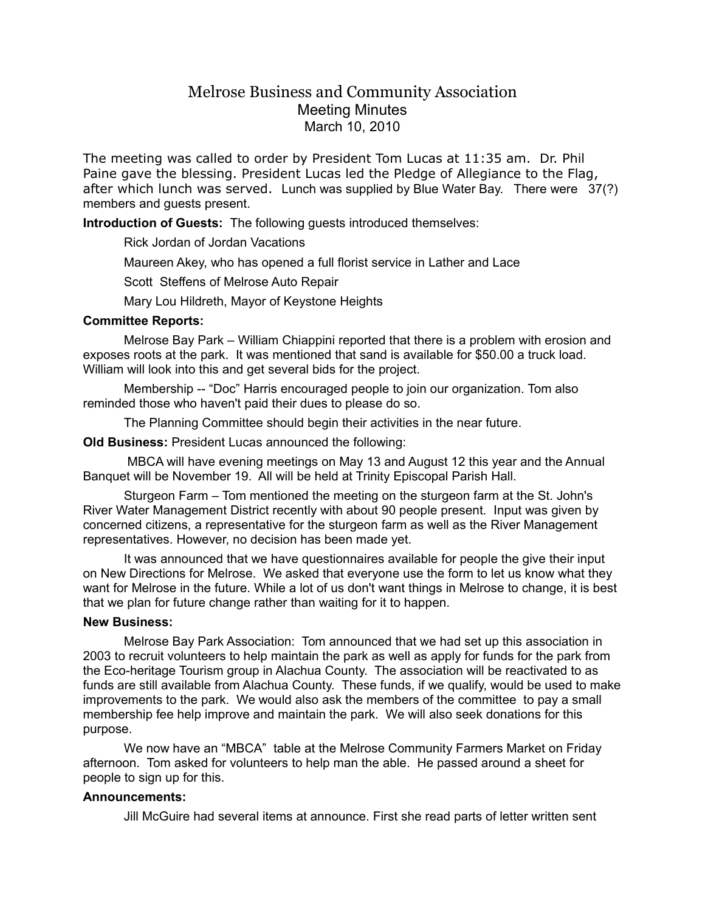# Melrose Business and Community Association Meeting Minutes March 10, 2010

The meeting was called to order by President Tom Lucas at 11:35 am. Dr. Phil Paine gave the blessing. President Lucas led the Pledge of Allegiance to the Flag, after which lunch was served. Lunch was supplied by Blue Water Bay. There were 37(?) members and guests present.

**Introduction of Guests:** The following guests introduced themselves:

Rick Jordan of Jordan Vacations

Maureen Akey, who has opened a full florist service in Lather and Lace

Scott Steffens of Melrose Auto Repair

Mary Lou Hildreth, Mayor of Keystone Heights

#### **Committee Reports:**

Melrose Bay Park – William Chiappini reported that there is a problem with erosion and exposes roots at the park. It was mentioned that sand is available for \$50.00 a truck load. William will look into this and get several bids for the project.

Membership -- "Doc" Harris encouraged people to join our organization. Tom also reminded those who haven't paid their dues to please do so.

The Planning Committee should begin their activities in the near future.

**Old Business:** President Lucas announced the following:

 MBCA will have evening meetings on May 13 and August 12 this year and the Annual Banquet will be November 19. All will be held at Trinity Episcopal Parish Hall.

Sturgeon Farm – Tom mentioned the meeting on the sturgeon farm at the St. John's River Water Management District recently with about 90 people present. Input was given by concerned citizens, a representative for the sturgeon farm as well as the River Management representatives. However, no decision has been made yet.

It was announced that we have questionnaires available for people the give their input on New Directions for Melrose. We asked that everyone use the form to let us know what they want for Melrose in the future. While a lot of us don't want things in Melrose to change, it is best that we plan for future change rather than waiting for it to happen.

#### **New Business:**

Melrose Bay Park Association: Tom announced that we had set up this association in 2003 to recruit volunteers to help maintain the park as well as apply for funds for the park from the Eco-heritage Tourism group in Alachua County. The association will be reactivated to as funds are still available from Alachua County. These funds, if we qualify, would be used to make improvements to the park. We would also ask the members of the committee to pay a small membership fee help improve and maintain the park. We will also seek donations for this purpose.

We now have an "MBCA" table at the Melrose Community Farmers Market on Friday afternoon. Tom asked for volunteers to help man the able. He passed around a sheet for people to sign up for this.

## **Announcements:**

Jill McGuire had several items at announce. First she read parts of letter written sent